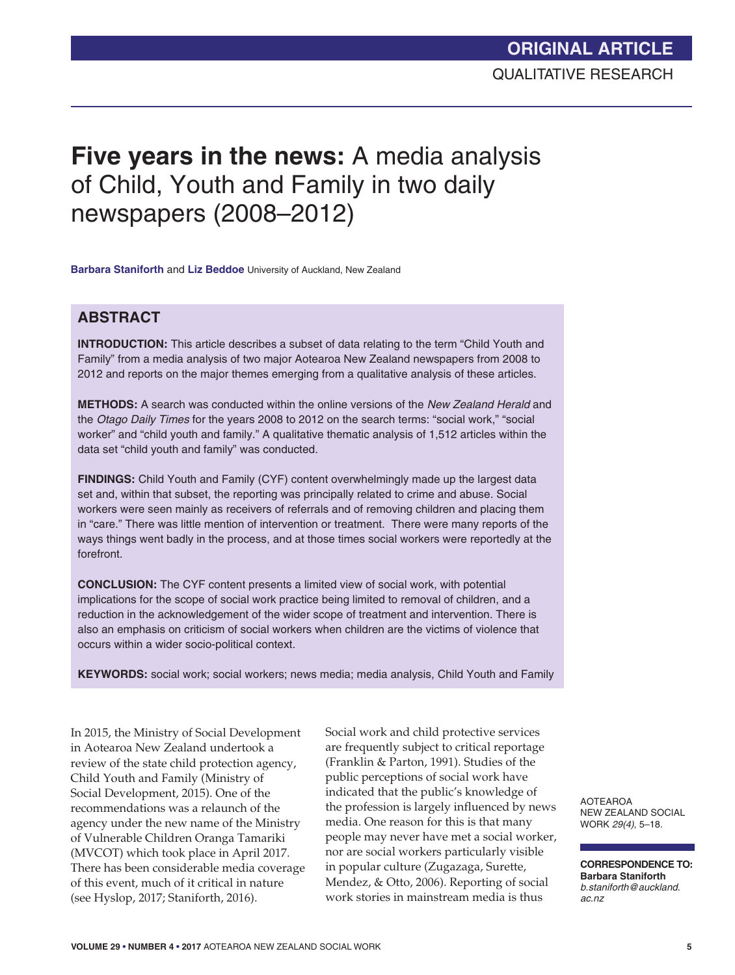# **Five years in the news:** A media analysis of Child, Youth and Family in two daily newspapers (2008–2012)

**Barbara Staniforth** and **Liz Beddoe** University of Auckland, New Zealand

### **ABSTRACT**

**INTRODUCTION:** This article describes a subset of data relating to the term "Child Youth and Family" from a media analysis of two major Aotearoa New Zealand newspapers from 2008 to 2012 and reports on the major themes emerging from a qualitative analysis of these articles.

**METHODS:** A search was conducted within the online versions of the *New Zealand Herald* and the *Otago Daily Times* for the years 2008 to 2012 on the search terms: "social work," "social worker" and "child youth and family." A qualitative thematic analysis of 1,512 articles within the data set "child youth and family" was conducted.

**FINDINGS:** Child Youth and Family (CYF) content overwhelmingly made up the largest data set and, within that subset, the reporting was principally related to crime and abuse. Social workers were seen mainly as receivers of referrals and of removing children and placing them in "care." There was little mention of intervention or treatment. There were many reports of the ways things went badly in the process, and at those times social workers were reportedly at the forefront.

**CONCLUSION:** The CYF content presents a limited view of social work, with potential implications for the scope of social work practice being limited to removal of children, and a reduction in the acknowledgement of the wider scope of treatment and intervention. There is also an emphasis on criticism of social workers when children are the victims of violence that occurs within a wider socio-political context.

**KEYWORDS:** social work; social workers; news media; media analysis, Child Youth and Family

 In 2015, the Ministry of Social Development in Aotearoa New Zealand undertook a review of the state child protection agency, Child Youth and Family (Ministry of Social Development, 2015). One of the recommendations was a relaunch of the agency under the new name of the Ministry of Vulnerable Children Oranga Tamariki (MVCOT) which took place in April 2017. There has been considerable media coverage of this event, much of it critical in nature (see Hyslop, 2017; Staniforth, 2016).

Social work and child protective services are frequently subject to critical reportage (Franklin & Parton, 1991). Studies of the public perceptions of social work have indicated that the public's knowledge of the profession is largely influenced by news media. One reason for this is that many people may never have met a social worker, nor are social workers particularly visible in popular culture (Zugazaga, Surette, Mendez, & Otto, 2006). Reporting of social work stories in mainstream media is thus

AOTEAROA NEW ZEALAND SOCIAL WORK *29(4)*, 5–18.

**CORRESPONDENCE TO: Barbara Staniforth** *b.staniforth@auckland. ac.nz*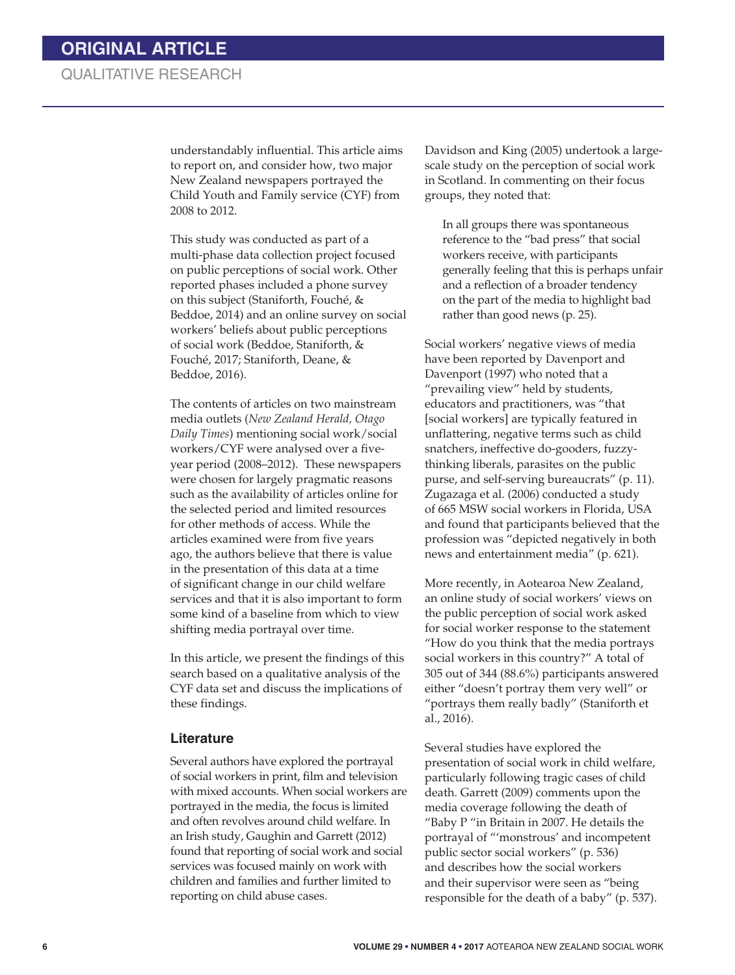understandably influential. This article aims to report on, and consider how, two major New Zealand newspapers portrayed the Child Youth and Family service (CYF) from 2008 to 2012.

This study was conducted as part of a multi-phase data collection project focused on public perceptions of social work. Other reported phases included a phone survey on this subject (Staniforth, Fouché, & Beddoe, 2014) and an online survey on social workers' beliefs about public perceptions of social work (Beddoe, Staniforth, & Fouché, 2017; Staniforth, Deane, & Beddoe, 2016).

The contents of articles on two mainstream media outlets (*New Zealand Herald, Otago Daily Times*) mentioning social work/social workers/CYF were analysed over a fiveyear period (2008–2012). These newspapers were chosen for largely pragmatic reasons such as the availability of articles online for the selected period and limited resources for other methods of access. While the articles examined were from five years ago, the authors believe that there is value in the presentation of this data at a time of significant change in our child welfare services and that it is also important to form some kind of a baseline from which to view shifting media portrayal over time.

In this article, we present the findings of this search based on a qualitative analysis of the CYF data set and discuss the implications of these findings.

#### **Literature**

Several authors have explored the portrayal of social workers in print, film and television with mixed accounts. When social workers are portrayed in the media, the focus is limited and often revolves around child welfare. In an Irish study, Gaughin and Garrett (2012) found that reporting of social work and social services was focused mainly on work with children and families and further limited to reporting on child abuse cases.

Davidson and King (2005) undertook a largescale study on the perception of social work in Scotland. In commenting on their focus groups, they noted that:

In all groups there was spontaneous reference to the "bad press" that social workers receive, with participants generally feeling that this is perhaps unfair and a reflection of a broader tendency on the part of the media to highlight bad rather than good news (p. 25).

Social workers' negative views of media have been reported by Davenport and Davenport (1997) who noted that a "prevailing view" held by students, educators and practitioners, was "that [social workers] are typically featured in unflattering, negative terms such as child snatchers, ineffective do-gooders, fuzzythinking liberals, parasites on the public purse, and self-serving bureaucrats" (p. 11). Zugazaga et al. (2006) conducted a study of 665 MSW social workers in Florida, USA and found that participants believed that the profession was "depicted negatively in both news and entertainment media" (p. 621).

More recently, in Aotearoa New Zealand, an online study of social workers' views on the public perception of social work asked for social worker response to the statement "How do you think that the media portrays social workers in this country?" A total of 305 out of 344 (88.6%) participants answered either "doesn't portray them very well" or "portrays them really badly" (Staniforth et al., 2016).

Several studies have explored the presentation of social work in child welfare, particularly following tragic cases of child death. Garrett (2009) comments upon the media coverage following the death of "Baby P "in Britain in 2007. He details the portrayal of "'monstrous' and incompetent public sector social workers" (p. 536) and describes how the social workers and their supervisor were seen as "being responsible for the death of a baby" (p. 537).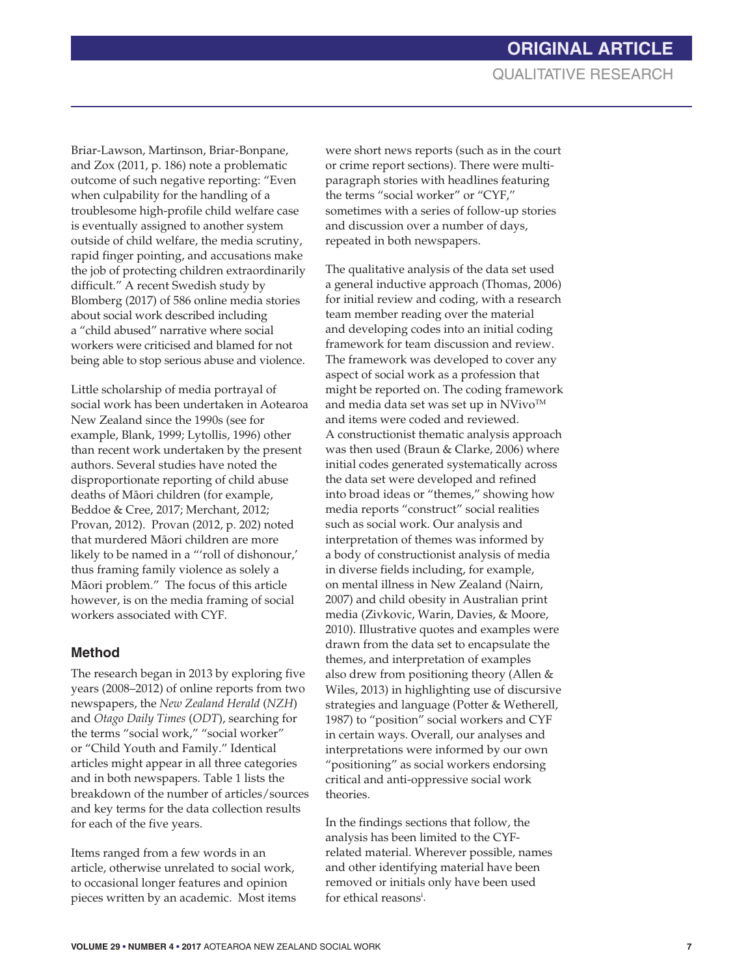Briar-Lawson, Martinson, Briar-Bonpane, and Zox (2011, p. 186) note a problematic outcome of such negative reporting: "Even when culpability for the handling of a troublesome high-profile child welfare case is eventually assigned to another system outside of child welfare, the media scrutiny, rapid finger pointing, and accusations make the job of protecting children extraordinarily difficult." A recent Swedish study by Blomberg (2017) of 586 online media stories about social work described including a "child abused" narrative where social workers were criticised and blamed for not being able to stop serious abuse and violence.

Little scholarship of media portrayal of social work has been undertaken in Aotearoa New Zealand since the 1990s (see for example, Blank, 1999; Lytollis, 1996) other than recent work undertaken by the present authors. Several studies have noted the disproportionate reporting of child abuse deaths of Máori children (for example, Beddoe & Cree, 2017; Merchant, 2012; Provan, 2012). Provan (2012, p. 202) noted that murdered Máori children are more likely to be named in a "'roll of dishonour,' thus framing family violence as solely a Máori problem." The focus of this article however, is on the media framing of social workers associated with CYF.

#### **Method**

The research began in 2013 by exploring five years (2008–2012) of online reports from two newspapers, the *New Zealand Herald* (*NZH*) and *Otago Daily Times* (*ODT*), searching for the terms "social work," "social worker" or "Child Youth and Family." Identical articles might appear in all three categories and in both newspapers. Table 1 lists the breakdown of the number of articles/sources and key terms for the data collection results for each of the five years.

Items ranged from a few words in an article, otherwise unrelated to social work, to occasional longer features and opinion pieces written by an academic. Most items

were short news reports (such as in the court or crime report sections). There were multiparagraph stories with headlines featuring the terms "social worker" or "CYF," sometimes with a series of follow-up stories and discussion over a number of days, repeated in both newspapers.

The qualitative analysis of the data set used a general inductive approach (Thomas, 2006) for initial review and coding, with a research team member reading over the material and developing codes into an initial coding framework for team discussion and review. The framework was developed to cover any aspect of social work as a profession that might be reported on. The coding framework and media data set was set up in  $N$ Vivo<sup>TM</sup> and items were coded and reviewed. A constructionist thematic analysis approach was then used (Braun & Clarke, 2006) where initial codes generated systematically across the data set were developed and refined into broad ideas or "themes," showing how media reports "construct" social realities such as social work. Our analysis and interpretation of themes was informed by a body of constructionist analysis of media in diverse fields including, for example, on mental illness in New Zealand (Nairn, 2007) and child obesity in Australian print media (Zivkovic, Warin, Davies, & Moore, 2010). Illustrative quotes and examples were drawn from the data set to encapsulate the themes, and interpretation of examples also drew from positioning theory (Allen & Wiles, 2013) in highlighting use of discursive strategies and language (Potter & Wetherell, 1987) to "position" social workers and CYF in certain ways. Overall, our analyses and interpretations were informed by our own "positioning" as social workers endorsing critical and anti-oppressive social work theories.

In the findings sections that follow, the analysis has been limited to the CYFrelated material. Wherever possible, names and other identifying material have been removed or initials only have been used for ethical reasonsi .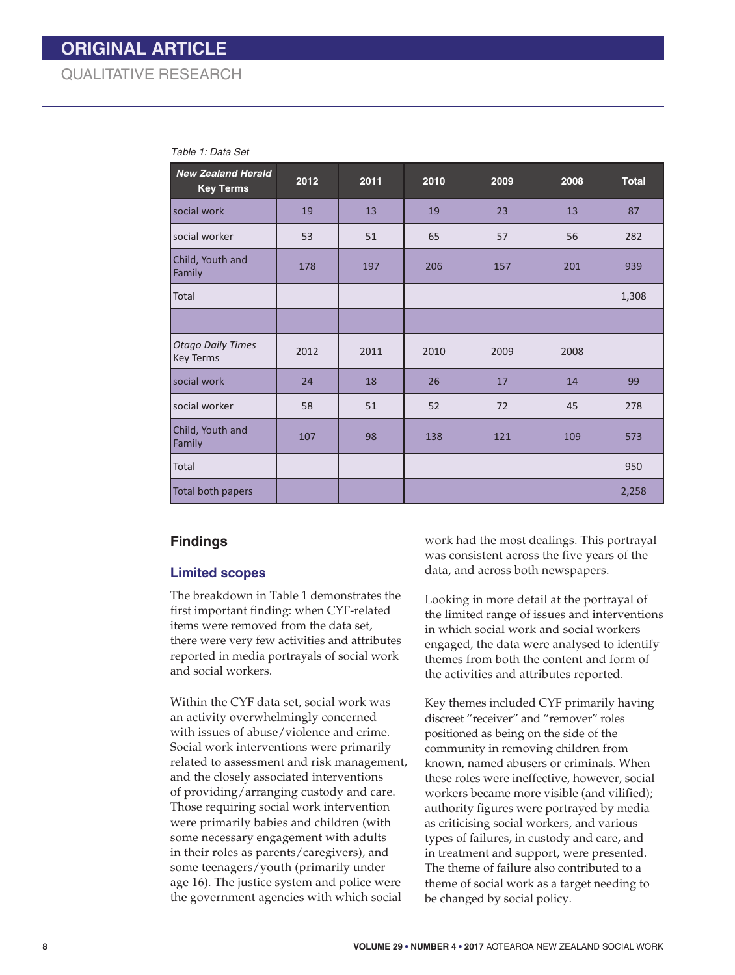| <b>New Zealand Herald</b><br><b>Key Terms</b> | 2012 | 2011 | 2010 | 2009 | 2008 | <b>Total</b> |
|-----------------------------------------------|------|------|------|------|------|--------------|
| social work                                   | 19   | 13   | 19   | 23   | 13   | 87           |
| social worker                                 | 53   | 51   | 65   | 57   | 56   | 282          |
| Child, Youth and<br>Family                    | 178  | 197  | 206  | 157  | 201  | 939          |
| Total                                         |      |      |      |      |      | 1,308        |
|                                               |      |      |      |      |      |              |
| <b>Otago Daily Times</b><br>Key Terms         | 2012 | 2011 | 2010 | 2009 | 2008 |              |
| social work                                   | 24   | 18   | 26   | 17   | 14   | 99           |
| social worker                                 | 58   | 51   | 52   | 72   | 45   | 278          |
| Child, Youth and<br>Family                    | 107  | 98   | 138  | 121  | 109  | 573          |
| Total                                         |      |      |      |      |      | 950          |
| Total both papers                             |      |      |      |      |      | 2,258        |

#### *Table 1: Data Set*

#### **Findings**

#### **Limited scopes**

The breakdown in Table 1 demonstrates the first important finding: when CYF-related items were removed from the data set, there were very few activities and attributes reported in media portrayals of social work and social workers.

Within the CYF data set, social work was an activity overwhelmingly concerned with issues of abuse/violence and crime. Social work interventions were primarily related to assessment and risk management, and the closely associated interventions of providing/arranging custody and care. Those requiring social work intervention were primarily babies and children (with some necessary engagement with adults in their roles as parents/caregivers), and some teenagers/youth (primarily under age 16). The justice system and police were the government agencies with which social

work had the most dealings. This portrayal was consistent across the five years of the data, and across both newspapers.

Looking in more detail at the portrayal of the limited range of issues and interventions in which social work and social workers engaged, the data were analysed to identify themes from both the content and form of the activities and attributes reported.

Key themes included CYF primarily having discreet "receiver" and "remover" roles positioned as being on the side of the community in removing children from known, named abusers or criminals. When these roles were ineffective, however, social workers became more visible (and vilified); authority figures were portrayed by media as criticising social workers, and various types of failures, in custody and care, and in treatment and support, were presented. The theme of failure also contributed to a theme of social work as a target needing to be changed by social policy.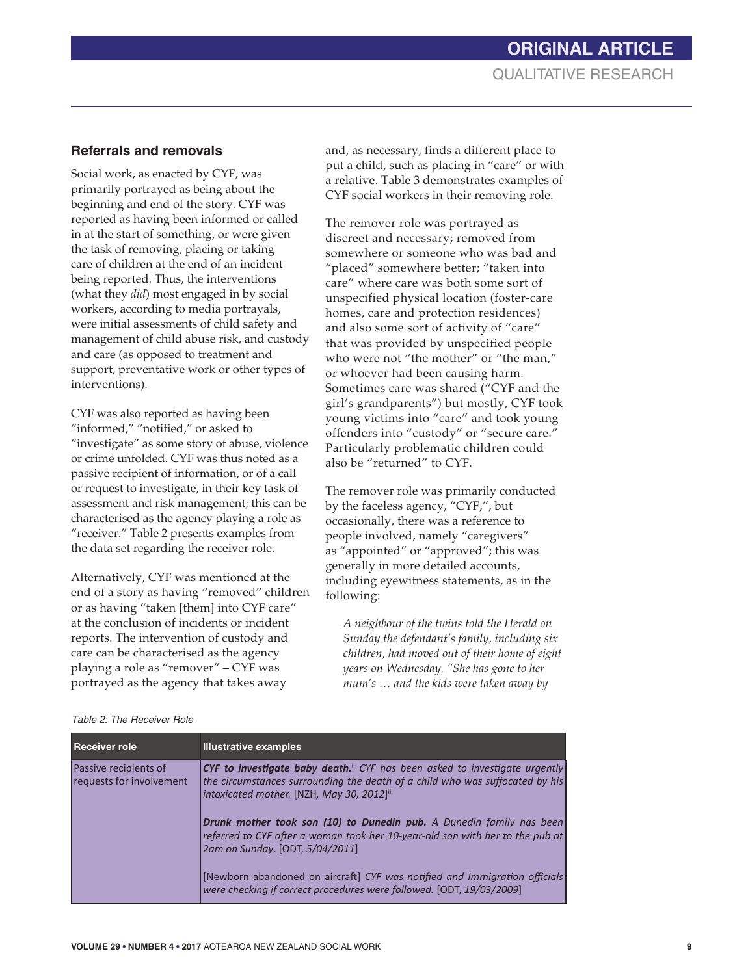#### **Referrals and removals**

Social work, as enacted by CYF, was primarily portrayed as being about the beginning and end of the story. CYF was reported as having been informed or called in at the start of something, or were given the task of removing, placing or taking care of children at the end of an incident being reported. Thus, the interventions (what they *did*) most engaged in by social workers, according to media portrayals, were initial assessments of child safety and management of child abuse risk, and custody and care (as opposed to treatment and support, preventative work or other types of interventions).

CYF was also reported as having been "informed," "notified," or asked to "investigate" as some story of abuse, violence or crime unfolded. CYF was thus noted as a passive recipient of information, or of a call or request to investigate, in their key task of assessment and risk management; this can be characterised as the agency playing a role as "receiver." Table 2 presents examples from the data set regarding the receiver role.

Alternatively, CYF was mentioned at the end of a story as having "removed" children or as having "taken [them] into CYF care" at the conclusion of incidents or incident reports. The intervention of custody and care can be characterised as the agency playing a role as "remover" – CYF was portrayed as the agency that takes away

and, as necessary, finds a different place to put a child, such as placing in "care" or with a relative. Table 3 demonstrates examples of CYF social workers in their removing role.

The remover role was portrayed as discreet and necessary; removed from somewhere or someone who was bad and "placed" somewhere better; "taken into care" where care was both some sort of unspecified physical location (foster-care homes, care and protection residences) and also some sort of activity of "care" that was provided by unspecified people who were not "the mother" or "the man," or whoever had been causing harm. Sometimes care was shared ("CYF and the girl's grandparents") but mostly, CYF took young victims into "care" and took young offenders into "custody" or "secure care." Particularly problematic children could also be "returned" to CYF.

The remover role was primarily conducted by the faceless agency, "CYF,", but occasionally, there was a reference to people involved, namely "caregivers" as "appointed" or "approved"; this was generally in more detailed accounts, including eyewitness statements, as in the following:

*A neighbour of the twins told the Herald on Sunday the defendant's family, including six children, had moved out of their home of eight years on Wednesday. "She has gone to her mum's … and the kids were taken away by* 

| <b>Receiver role</b>                              | <b>Illustrative examples</b>                                                                                                                                                                                   |
|---------------------------------------------------|----------------------------------------------------------------------------------------------------------------------------------------------------------------------------------------------------------------|
| Passive recipients of<br>requests for involvement | <b>CYF to investigate baby death.</b> CYF has been asked to investigate urgently<br>the circumstances surrounding the death of a child who was suffocated by his<br>intoxicated mother. [NZH, May 30, 2012]iii |
|                                                   | Drunk mother took son (10) to Dunedin pub. A Dunedin family has been<br>referred to CYF after a woman took her 10-year-old son with her to the pub at<br>2am on Sunday. [ODT, 5/04/2011]                       |
|                                                   | [Newborn abandoned on aircraft] CYF was notified and Immigration officials<br>were checking if correct procedures were followed. [ODT, 19/03/2009]                                                             |

#### *Table 2: The Receiver Role*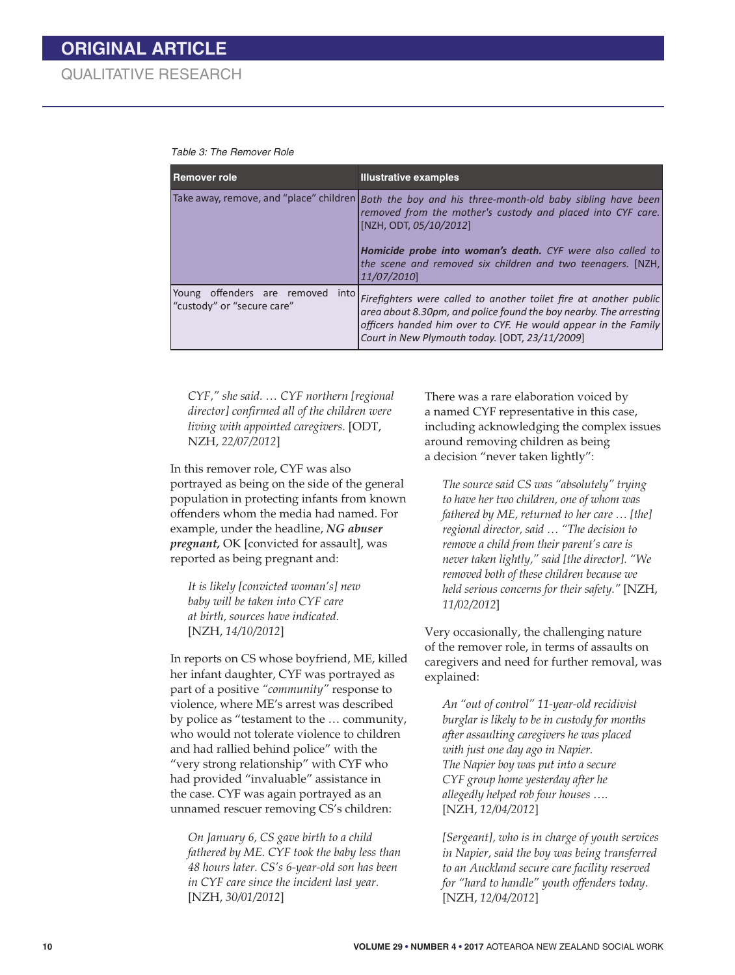#### *Table 3: The Remover Role*

| Remover role                                                      | <b>Illustrative examples</b>                                                                                                                                                                                                                                                                                               |
|-------------------------------------------------------------------|----------------------------------------------------------------------------------------------------------------------------------------------------------------------------------------------------------------------------------------------------------------------------------------------------------------------------|
|                                                                   | Take away, remove, and "place" children Both the boy and his three-month-old baby sibling have been<br>removed from the mother's custody and placed into CYF care.<br>[NZH, ODT, 05/10/2012]<br>Homicide probe into woman's death. CYF were also called to<br>the scene and removed six children and two teenagers. [NZH,] |
|                                                                   | 11/07/2010]                                                                                                                                                                                                                                                                                                                |
| Young offenders are removed<br>into<br>"custody" or "secure care" | Firefighters were called to another toilet fire at another public<br>area about 8.30pm, and police found the boy nearby. The arresting<br>officers handed him over to CYF. He would appear in the Family<br>Court in New Plymouth today. [ODT, 23/11/2009]                                                                 |

*CYF," she said. … CYF northern [regional director] confirmed all of the children were living with appointed caregivers.* [ODT, NZH, *22/07/2012*]

In this remover role, CYF was also portrayed as being on the side of the general population in protecting infants from known offenders whom the media had named. For example, under the headline, *NG abuser pregnant,* OK [convicted for assault], was reported as being pregnant and:

*It is likely [convicted woman's] new baby will be taken into CYF care at birth, sources have indicated.* [NZH, *14/10/2012*]

In reports on CS whose boyfriend, ME, killed her infant daughter, CYF was portrayed as part of a positive *"community"* response to violence, where ME's arrest was described by police as "testament to the … community, who would not tolerate violence to children and had rallied behind police" with the "very strong relationship" with CYF who had provided "invaluable" assistance in the case. CYF was again portrayed as an unnamed rescuer removing CS's children:

*On January 6, CS gave birth to a child fathered by ME. CYF took the baby less than 48 hours later. CS's 6-year-old son has been in CYF care since the incident last year.* [NZH, *30/01/2012*]

There was a rare elaboration voiced by a named CYF representative in this case, including acknowledging the complex issues around removing children as being a decision "never taken lightly":

*The source said CS was "absolutely" trying to have her two children, one of whom was fathered by ME, returned to her care … [the] regional director, said … "The decision to remove a child from their parent's care is never taken lightly," said [the director]. "We removed both of these children because we held serious concerns for their safety."* [NZH, *11/02/2012*]

Very occasionally, the challenging nature of the remover role, in terms of assaults on caregivers and need for further removal, was explained:

*An "out of control" 11-year-old recidivist burglar is likely to be in custody for months after assaulting caregivers he was placed with just one day ago in Napier. The Napier boy was put into a secure CYF group home yesterday after he allegedly helped rob four houses* …. [NZH, *12/04/2012*]

*[Sergeant], who is in charge of youth services in Napier, said the boy was being transferred to an Auckland secure care facility reserved for "hard to handle" youth offenders today*. [NZH, *12/04/2012*]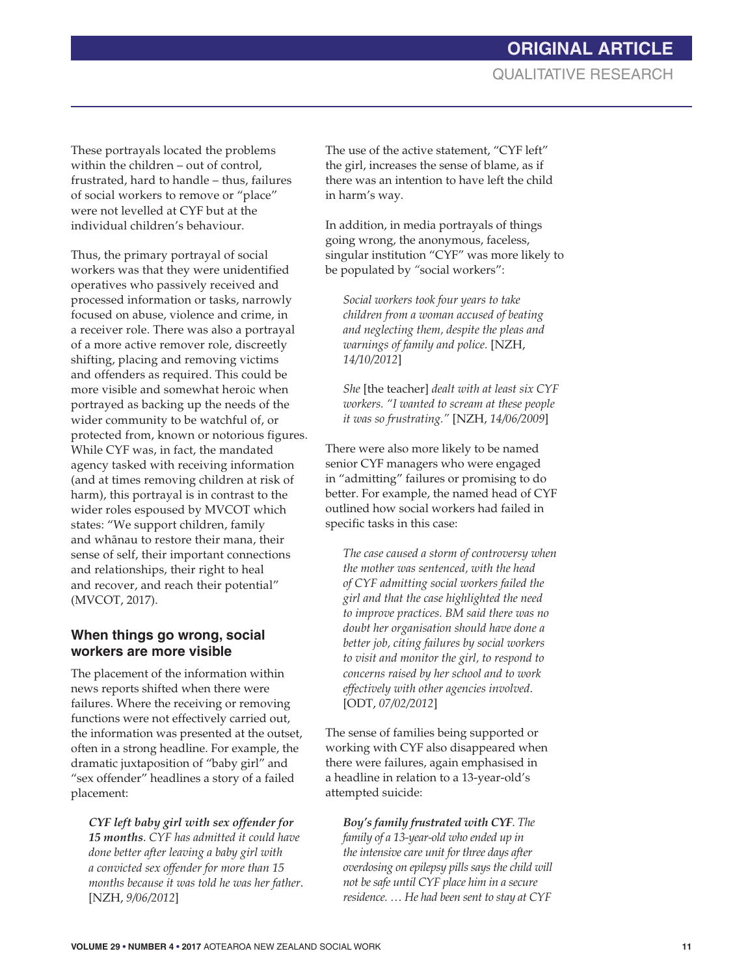## **ORIGINAL ARTICLE** QUALITATIVE RESEARCH

These portrayals located the problems within the children – out of control, frustrated, hard to handle – thus, failures of social workers to remove or "place" were not levelled at CYF but at the individual children's behaviour.

Thus, the primary portrayal of social workers was that they were unidentified operatives who passively received and processed information or tasks, narrowly focused on abuse, violence and crime, in a receiver role. There was also a portrayal of a more active remover role, discreetly shifting, placing and removing victims and offenders as required. This could be more visible and somewhat heroic when portrayed as backing up the needs of the wider community to be watchful of, or protected from, known or notorious figures. While CYF was, in fact, the mandated agency tasked with receiving information (and at times removing children at risk of harm), this portrayal is in contrast to the wider roles espoused by MVCOT which states: "We support children, family and whánau to restore their mana, their sense of self, their important connections and relationships, their right to heal and recover, and reach their potential" (MVCOT, 2017).

#### **When things go wrong, social workers are more visible**

The placement of the information within news reports shifted when there were failures. Where the receiving or removing functions were not effectively carried out, the information was presented at the outset, often in a strong headline. For example, the dramatic juxtaposition of "baby girl" and "sex offender" headlines a story of a failed placement:

*CYF left baby girl with sex offender for 15 months*. *CYF has admitted it could have done better after leaving a baby girl with a convicted sex offender for more than 15 months because it was told he was her father*. [NZH, *9/06/2012*]

The use of the active statement, "CYF left" the girl, increases the sense of blame, as if there was an intention to have left the child in harm's way.

In addition, in media portrayals of things going wrong, the anonymous, faceless, singular institution "CYF" was more likely to be populated by *"*social workers":

*Social workers took four years to take children from a woman accused of beating and neglecting them, despite the pleas and warnings of family and police.* [NZH, *14/10/2012*]

*She* [the teacher] *dealt with at least six CYF workers. "I wanted to scream at these people it was so frustrating."* [NZH, *14/06/2009*]

There were also more likely to be named senior CYF managers who were engaged in "admitting" failures or promising to do better. For example, the named head of CYF outlined how social workers had failed in specific tasks in this case:

*The case caused a storm of controversy when the mother was sentenced, with the head of CYF admitting social workers failed the girl and that the case highlighted the need to improve practices. BM said there was no doubt her organisation should have done a better job, citing failures by social workers to visit and monitor the girl, to respond to concerns raised by her school and to work effectively with other agencies involved*. [ODT, *07/02/2012*]

The sense of families being supported or working with CYF also disappeared when there were failures, again emphasised in a headline in relation to a 13-year-old's attempted suicide:

*Boy's family frustrated with CYF*. *The family of a 13-year-old who ended up in the intensive care unit for three days after overdosing on epilepsy pills says the child will not be safe until CYF place him in a secure residence. … He had been sent to stay at CYF*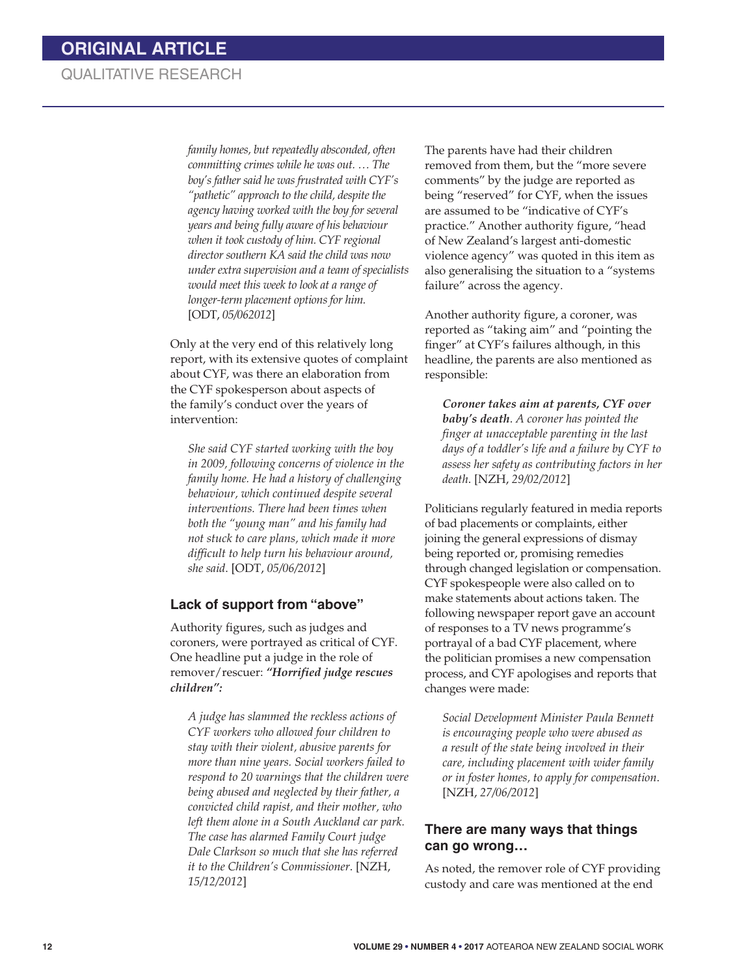*family homes, but repeatedly absconded, often committing crimes while he was out. … The boy's father said he was frustrated with CYF's "pathetic" approach to the child, despite the agency having worked with the boy for several years and being fully aware of his behaviour when it took custody of him. CYF regional director southern KA said the child was now under extra supervision and a team of specialists would meet this week to look at a range of longer-term placement options for him.* [ODT, *05/062012*]

Only at the very end of this relatively long report, with its extensive quotes of complaint about CYF, was there an elaboration from the CYF spokesperson about aspects of the family's conduct over the years of intervention:

*She said CYF started working with the boy in 2009, following concerns of violence in the family home. He had a history of challenging behaviour, which continued despite several interventions. There had been times when both the "young man" and his family had not stuck to care plans, which made it more difficult to help turn his behaviour around, she said*. [ODT, *05/06/2012*]

#### **Lack of support from "above"**

Authority figures, such as judges and coroners, were portrayed as critical of CYF. One headline put a judge in the role of remover/rescuer: *"Horrified judge rescues children":*

*A judge has slammed the reckless actions of CYF workers who allowed four children to stay with their violent, abusive parents for more than nine years. Social workers failed to respond to 20 warnings that the children were being abused and neglected by their father, a convicted child rapist, and their mother, who left them alone in a South Auckland car park. The case has alarmed Family Court judge Dale Clarkson so much that she has referred it to the Children's Commissioner*. [NZH, *15/12/2012*]

The parents have had their children removed from them, but the "more severe comments" by the judge are reported as being "reserved" for CYF, when the issues are assumed to be "indicative of CYF's practice." Another authority figure, "head of New Zealand's largest anti-domestic violence agency" was quoted in this item as also generalising the situation to a "systems failure" across the agency.

Another authority figure, a coroner, was reported as "taking aim" and "pointing the finger" at CYF's failures although, in this headline, the parents are also mentioned as responsible:

*Coroner takes aim at parents, CYF over baby's death*. *A coroner has pointed the finger at unacceptable parenting in the last days of a toddler's life and a failure by CYF to assess her safety as contributing factors in her death*. [NZH, *29/02/2012*]

Politicians regularly featured in media reports of bad placements or complaints, either joining the general expressions of dismay being reported or, promising remedies through changed legislation or compensation. CYF spokespeople were also called on to make statements about actions taken. The following newspaper report gave an account of responses to a TV news programme's portrayal of a bad CYF placement, where the politician promises a new compensation process, and CYF apologises and reports that changes were made:

*Social Development Minister Paula Bennett is encouraging people who were abused as a result of the state being involved in their care, including placement with wider family or in foster homes, to apply for compensation*. [NZH, *27/06/2012*]

#### **There are many ways that things can go wrong…**

As noted, the remover role of CYF providing custody and care was mentioned at the end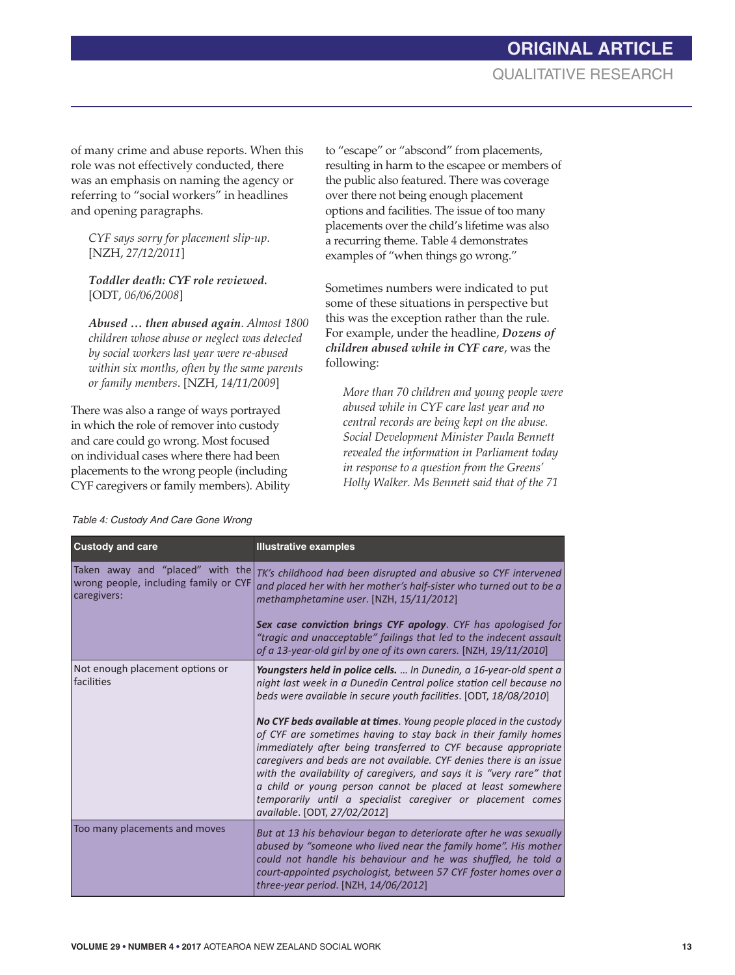## **ORIGINAL ARTICLE** QUALITATIVE RESEARCH

of many crime and abuse reports. When this role was not effectively conducted, there was an emphasis on naming the agency or referring to "social workers" in headlines and opening paragraphs.

*CYF says sorry for placement slip-up*. [NZH, *27/12/2011*]

*Toddler death: CYF role reviewed.* [ODT, *06/06/2008*]

*Abused … then abused again*. *Almost 1800 children whose abuse or neglect was detected by social workers last year were re-abused within six months, often by the same parents or family members*. [NZH, *14/11/2009*]

There was also a range of ways portrayed in which the role of remover into custody and care could go wrong. Most focused on individual cases where there had been placements to the wrong people (including CYF caregivers or family members). Ability

to "escape" or "abscond" from placements, resulting in harm to the escapee or members of the public also featured. There was coverage over there not being enough placement options and facilities. The issue of too many placements over the child's lifetime was also a recurring theme. Table 4 demonstrates examples of "when things go wrong."

Sometimes numbers were indicated to put some of these situations in perspective but this was the exception rather than the rule. For example, under the headline, *Dozens of children abused while in CYF care*, was the following:

*More than 70 children and young people were abused while in CYF care last year and no central records are being kept on the abuse. Social Development Minister Paula Bennett revealed the information in Parliament today in response to a question from the Greens' Holly Walker. Ms Bennett said that of the 71* 

| <b>Custody and care</b>                              | <b>Illustrative examples</b>                                                                                                                                                                                                                                                                                                                                                                                                                                                                                                                                                                                                                                                                                                           |
|------------------------------------------------------|----------------------------------------------------------------------------------------------------------------------------------------------------------------------------------------------------------------------------------------------------------------------------------------------------------------------------------------------------------------------------------------------------------------------------------------------------------------------------------------------------------------------------------------------------------------------------------------------------------------------------------------------------------------------------------------------------------------------------------------|
| wrong people, including family or CYF<br>caregivers: | Taken away and "placed" with the $\frac{1}{K}$ 's childhood had been disrupted and abusive so CYF intervened<br>and placed her with her mother's half-sister who turned out to be a<br>methamphetamine user. [NZH, 15/11/2012]<br>Sex case conviction brings CYF apology. CYF has apologised for<br>"tragic and unacceptable" failings that led to the indecent assault                                                                                                                                                                                                                                                                                                                                                                |
|                                                      | of a 13-year-old girl by one of its own carers. [NZH, 19/11/2010]                                                                                                                                                                                                                                                                                                                                                                                                                                                                                                                                                                                                                                                                      |
| Not enough placement options or<br>facilities        | Youngsters held in police cells.  In Dunedin, a 16-year-old spent a<br>night last week in a Dunedin Central police station cell because no<br>beds were available in secure youth facilities. [ODT, 18/08/2010]<br>No CYF beds available at times. Young people placed in the custody<br>of CYF are sometimes having to stay back in their family homes<br>immediately after being transferred to CYF because appropriate<br>caregivers and beds are not available. CYF denies there is an issue<br>with the availability of caregivers, and says it is "very rare" that<br>a child or young person cannot be placed at least somewhere<br>temporarily until a specialist caregiver or placement comes<br>available. [ODT, 27/02/2012] |
| Too many placements and moves                        | But at 13 his behaviour began to deteriorate after he was sexually<br>abused by "someone who lived near the family home". His mother<br>could not handle his behaviour and he was shuffled, he told a<br>court-appointed psychologist, between 57 CYF foster homes over a<br>three-year period. [NZH, $14/06/2012$ ]                                                                                                                                                                                                                                                                                                                                                                                                                   |

#### *Table 4: Custody And Care Gone Wrong*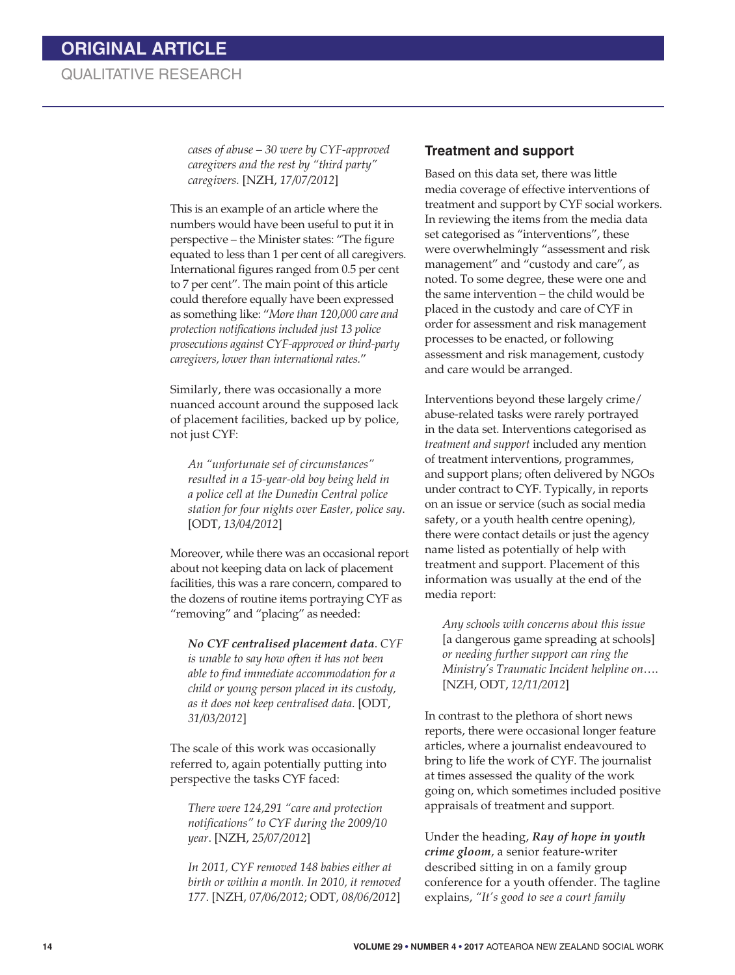*cases of abuse – 30 were by CYF-approved caregivers and the rest by "third party" caregivers.* [NZH, *17/07/2012*]

This is an example of an article where the numbers would have been useful to put it in perspective – the Minister states: "The figure equated to less than 1 per cent of all caregivers. International figures ranged from 0.5 per cent to 7 per cent". The main point of this article could therefore equally have been expressed as something like: "*More than 120,000 care and protection notifications included just 13 police prosecutions against CYF-approved or third-party caregivers, lower than international rates.*"

Similarly, there was occasionally a more nuanced account around the supposed lack of placement facilities, backed up by police, not just CYF:

*An "unfortunate set of circumstances" resulted in a 15-year-old boy being held in a police cell at the Dunedin Central police station for four nights over Easter, police say*. [ODT, *13/04/2012*]

Moreover, while there was an occasional report about not keeping data on lack of placement facilities, this was a rare concern, compared to the dozens of routine items portraying CYF as "removing" and "placing" as needed:

*No CYF centralised placement data*. *CYF is unable to say how often it has not been able to find immediate accommodation for a child or young person placed in its custody, as it does not keep centralised data*. [ODT, *31/03/2012*]

The scale of this work was occasionally referred to, again potentially putting into perspective the tasks CYF faced:

*There were 124,291 "care and protection notifications" to CYF during the 2009/10 year*. [NZH, *25/07/2012*]

*In 2011, CYF removed 148 babies either at birth or within a month. In 2010, it removed 177*. [NZH, *07/06/2012*; ODT, *08/06/2012*]

#### **Treatment and support**

Based on this data set, there was little media coverage of effective interventions of treatment and support by CYF social workers. In reviewing the items from the media data set categorised as "interventions", these were overwhelmingly "assessment and risk management" and "custody and care", as noted. To some degree, these were one and the same intervention – the child would be placed in the custody and care of CYF in order for assessment and risk management processes to be enacted, or following assessment and risk management, custody and care would be arranged.

Interventions beyond these largely crime/ abuse-related tasks were rarely portrayed in the data set. Interventions categorised as *treatment and support* included any mention of treatment interventions, programmes, and support plans; often delivered by NGOs under contract to CYF. Typically, in reports on an issue or service (such as social media safety, or a youth health centre opening), there were contact details or just the agency name listed as potentially of help with treatment and support. Placement of this information was usually at the end of the media report:

*Any schools with concerns about this issue* [a dangerous game spreading at schools] *or needing further support can ring the Ministry's Traumatic Incident helpline on*…. [NZH, ODT, *12/11/2012*]

In contrast to the plethora of short news reports, there were occasional longer feature articles, where a journalist endeavoured to bring to life the work of CYF. The journalist at times assessed the quality of the work going on, which sometimes included positive appraisals of treatment and support.

Under the heading, *Ray of hope in youth crime gloom*, a senior feature-writer described sitting in on a family group conference for a youth offender. The tagline explains, *"It's good to see a court family*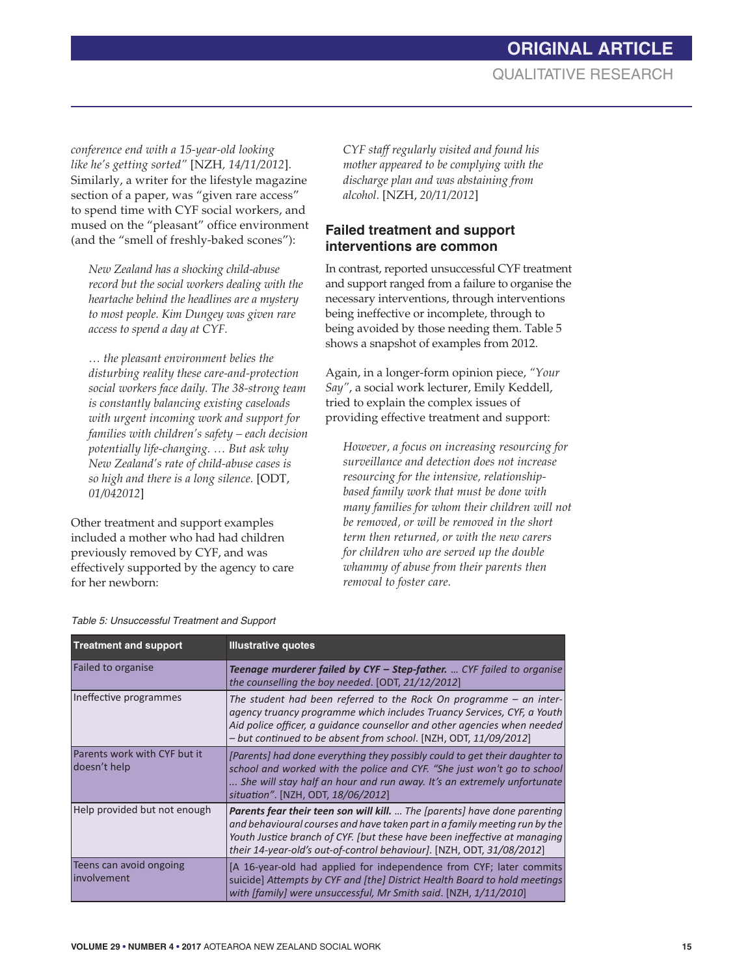## **ORIGINAL ARTICLE** QUALITATIVE RESEARCH

*conference end with a 15-year-old looking like he's getting sorted"* [NZH*, 14/11/2012*]. Similarly, a writer for the lifestyle magazine section of a paper, was "given rare access" to spend time with CYF social workers, and mused on the "pleasant" office environment (and the "smell of freshly-baked scones"):

*New Zealand has a shocking child-abuse record but the social workers dealing with the heartache behind the headlines are a mystery to most people. Kim Dungey was given rare access to spend a day at CYF.*

*… the pleasant environment belies the disturbing reality these care-and-protection social workers face daily. The 38-strong team is constantly balancing existing caseloads with urgent incoming work and support for families with children's safety – each decision potentially life-changing. … But ask why New Zealand's rate of child-abuse cases is so high and there is a long silence.* [ODT, *01/042012*]

Other treatment and support examples included a mother who had had children previously removed by CYF, and was effectively supported by the agency to care for her newborn:

*CYF staff regularly visited and found his mother appeared to be complying with the discharge plan and was abstaining from alcohol*. [NZH, *20/11/2012*]

### **Failed treatment and support interventions are common**

In contrast, reported unsuccessful CYF treatment and support ranged from a failure to organise the necessary interventions, through interventions being ineffective or incomplete, through to being avoided by those needing them. Table 5 shows a snapshot of examples from 2012.

Again, in a longer-form opinion piece, *"Your Say"*, a social work lecturer, Emily Keddell, tried to explain the complex issues of providing effective treatment and support:

*However, a focus on increasing resourcing for surveillance and detection does not increase resourcing for the intensive, relationshipbased family work that must be done with many families for whom their children will not be removed, or will be removed in the short term then returned, or with the new carers for children who are served up the double whammy of abuse from their parents then removal to foster care.* 

| <b>Treatment and support</b>                 | <b>Illustrative quotes</b>                                                                                                                                                                                                                                                                                    |
|----------------------------------------------|---------------------------------------------------------------------------------------------------------------------------------------------------------------------------------------------------------------------------------------------------------------------------------------------------------------|
| Failed to organise                           | Teenage murderer failed by CYF - Step-father.  CYF failed to organise<br>the counselling the boy needed. [ODT, 21/12/2012]                                                                                                                                                                                    |
| Ineffective programmes                       | The student had been referred to the Rock On programme $-$ an inter-<br>agency truancy programme which includes Truancy Services, CYF, a Youth<br>Aid police officer, a quidance counsellor and other agencies when needed<br>- but continued to be absent from school. [NZH, ODT, 11/09/2012]                |
| Parents work with CYF but it<br>doesn't help | [Parents] had done everything they possibly could to get their daughter to<br>school and worked with the police and CYF. "She just won't go to school<br>She will stay half an hour and run away. It's an extremely unfortunate<br>situation". [NZH, ODT, 18/06/2012]                                         |
| Help provided but not enough                 | Parents fear their teen son will kill.  The [parents] have done parenting<br>and behavioural courses and have taken part in a family meeting run by the<br>Youth Justice branch of CYF. [but these have been ineffective at managing<br>their 14-year-old's out-of-control behaviour]. [NZH, ODT, 31/08/2012] |
| Teens can avoid ongoing<br>involvement       | [A 16-year-old had applied for independence from CYF; later commits<br>suicide] Attempts by CYF and [the] District Health Board to hold meetings<br>with [family] were unsuccessful, Mr Smith said. [NZH, 1/11/2010]                                                                                          |

*Table 5: Unsuccessful Treatment and Support*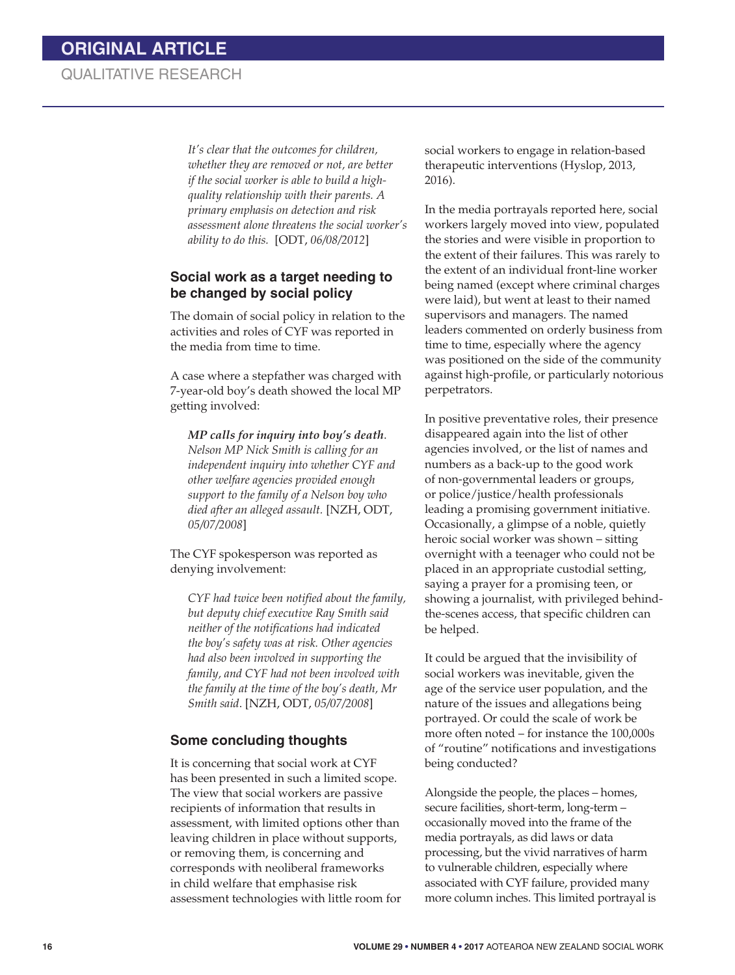*It's clear that the outcomes for children, whether they are removed or not, are better if the social worker is able to build a highquality relationship with their parents. A primary emphasis on detection and risk assessment alone threatens the social worker's ability to do this.* [ODT, *06/08/2012*]

#### **Social work as a target needing to be changed by social policy**

The domain of social policy in relation to the activities and roles of CYF was reported in the media from time to time.

A case where a stepfather was charged with 7-year-old boy's death showed the local MP getting involved:

*MP calls for inquiry into boy's death*. *Nelson MP Nick Smith is calling for an independent inquiry into whether CYF and other welfare agencies provided enough support to the family of a Nelson boy who died after an alleged assault.* [NZH, ODT, *05/07/2008*]

The CYF spokesperson was reported as denying involvement:

*CYF had twice been notified about the family, but deputy chief executive Ray Smith said neither of the notifications had indicated the boy's safety was at risk. Other agencies had also been involved in supporting the family, and CYF had not been involved with the family at the time of the boy's death, Mr Smith said*. [NZH, ODT, *05/07/2008*]

#### **Some concluding thoughts**

It is concerning that social work at CYF has been presented in such a limited scope. The view that social workers are passive recipients of information that results in assessment, with limited options other than leaving children in place without supports, or removing them, is concerning and corresponds with neoliberal frameworks in child welfare that emphasise risk assessment technologies with little room for social workers to engage in relation-based therapeutic interventions (Hyslop, 2013, 2016).

In the media portrayals reported here, social workers largely moved into view, populated the stories and were visible in proportion to the extent of their failures. This was rarely to the extent of an individual front-line worker being named (except where criminal charges were laid), but went at least to their named supervisors and managers. The named leaders commented on orderly business from time to time, especially where the agency was positioned on the side of the community against high-profile, or particularly notorious perpetrators.

In positive preventative roles, their presence disappeared again into the list of other agencies involved, or the list of names and numbers as a back-up to the good work of non-governmental leaders or groups, or police/justice/health professionals leading a promising government initiative. Occasionally, a glimpse of a noble, quietly heroic social worker was shown – sitting overnight with a teenager who could not be placed in an appropriate custodial setting, saying a prayer for a promising teen, or showing a journalist, with privileged behindthe-scenes access, that specific children can be helped.

It could be argued that the invisibility of social workers was inevitable, given the age of the service user population, and the nature of the issues and allegations being portrayed. Or could the scale of work be more often noted – for instance the 100,000s of "routine" notifications and investigations being conducted?

Alongside the people, the places – homes, secure facilities, short-term, long-term – occasionally moved into the frame of the media portrayals, as did laws or data processing, but the vivid narratives of harm to vulnerable children, especially where associated with CYF failure, provided many more column inches. This limited portrayal is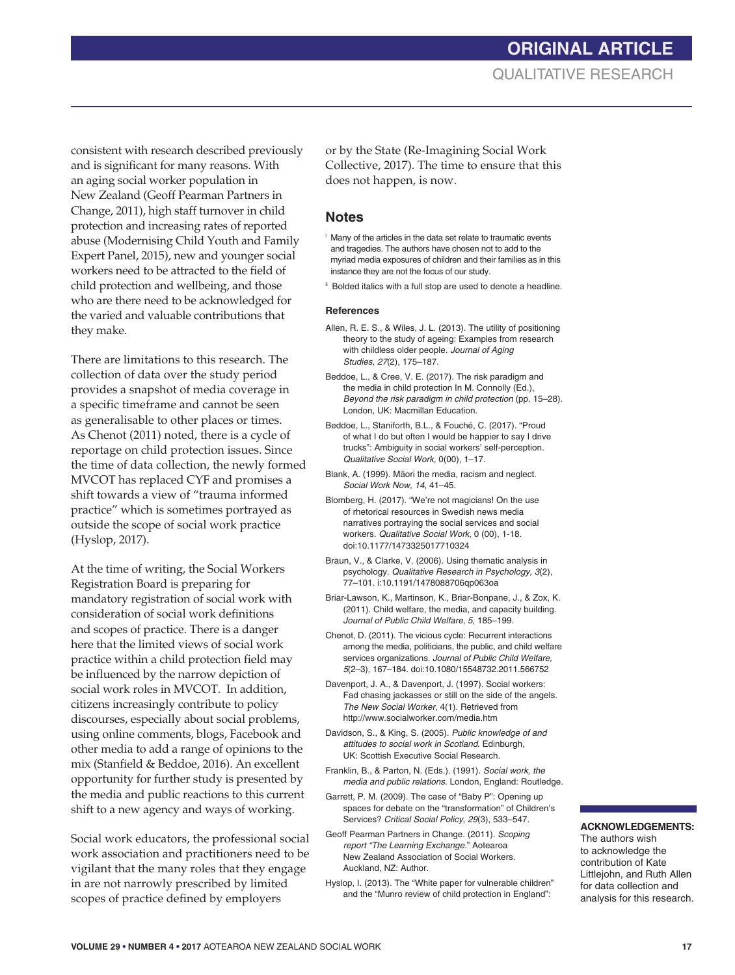consistent with research described previously and is significant for many reasons. With an aging social worker population in New Zealand (Geoff Pearman Partners in Change, 2011), high staff turnover in child protection and increasing rates of reported abuse (Modernising Child Youth and Family Expert Panel, 2015), new and younger social workers need to be attracted to the field of child protection and wellbeing, and those who are there need to be acknowledged for the varied and valuable contributions that they make.

There are limitations to this research. The collection of data over the study period provides a snapshot of media coverage in a specific timeframe and cannot be seen as generalisable to other places or times. As Chenot (2011) noted, there is a cycle of reportage on child protection issues. Since the time of data collection, the newly formed MVCOT has replaced CYF and promises a shift towards a view of "trauma informed practice" which is sometimes portrayed as outside the scope of social work practice (Hyslop, 2017).

At the time of writing, the Social Workers Registration Board is preparing for mandatory registration of social work with consideration of social work definitions and scopes of practice. There is a danger here that the limited views of social work practice within a child protection field may be influenced by the narrow depiction of social work roles in MVCOT. In addition, citizens increasingly contribute to policy discourses, especially about social problems, using online comments, blogs, Facebook and other media to add a range of opinions to the mix (Stanfield & Beddoe, 2016). An excellent opportunity for further study is presented by the media and public reactions to this current shift to a new agency and ways of working.

Social work educators, the professional social work association and practitioners need to be vigilant that the many roles that they engage in are not narrowly prescribed by limited scopes of practice defined by employers

or by the State (Re-Imagining Social Work Collective, 2017). The time to ensure that this does not happen, is now.

#### **Notes**

- i Many of the articles in the data set relate to traumatic events and tragedies. The authors have chosen not to add to the myriad media exposures of children and their families as in this instance they are not the focus of our study.
- ii Bolded italics with a full stop are used to denote a headline.

#### **References**

- Allen, R. E. S., & Wiles, J. L. (2013). The utility of positioning theory to the study of ageing: Examples from research with childless older people. *Journal of Aging Studies, 27*(2), 175–187.
- Beddoe, L., & Cree, V. E. (2017). The risk paradigm and the media in child protection In M. Connolly (Ed.), *Beyond the risk paradigm in child protection* (pp. 15–28). London, UK: Macmillan Education.
- Beddoe, L., Staniforth, B.L., & Fouché, C. (2017). "Proud of what I do but often I would be happier to say I drive trucks": Ambiguity in social workers' self-perception. *Qualitative Social Work,* 0(00), 1–17.
- Blank, A. (1999). Māori the media, racism and neglect. *Social Work Now, 14*, 41–45.
- Blomberg, H. (2017). "We're not magicians! On the use of rhetorical resources in Swedish news media narratives portraying the social services and social workers. *Qualitative Social Work*, 0 (00), 1-18. doi:10.1177/1473325017710324
- Braun, V., & Clarke, V. (2006). Using thematic analysis in psychology. *Qualitative Research in Psychology, 3*(2), 77–101. i:10.1191/1478088706qp063oa
- Briar-Lawson, K., Martinson, K., Briar-Bonpane, J., & Zox, K. (2011). Child welfare, the media, and capacity building. *Journal of Public Child Welfare*, *5*, 185–199.
- Chenot, D. (2011). The vicious cycle: Recurrent interactions among the media, politicians, the public, and child welfare services organizations. *Journal of Public Child Welfare, 5*(2–3)*,* 167–184. doi:10.1080/15548732.2011.566752
- Davenport, J. A., & Davenport, J. (1997). Social workers: Fad chasing jackasses or still on the side of the angels. *The New Social Worker*, 4(1). Retrieved from http://www.socialworker.com/media.htm
- Davidson, S., & King, S. (2005). *Public knowledge of and attitudes to social work in Scotland*. Edinburgh, UK: Scottish Executive Social Research.
- Franklin, B., & Parton, N. (Eds.). (1991). *Social work, the media and public relations*. London, England: Routledge.
- Garrett, P. M. (2009). The case of "Baby P": Opening up spaces for debate on the "transformation" of Children's Services? *Critical Social Policy*, *29*(3), 533–547.
- Geoff Pearman Partners in Change. (2011). *Scoping report "The Learning Exchange.*" Aotearoa New Zealand Association of Social Workers. Auckland, NZ: Author.
- Hyslop, I. (2013). The "White paper for vulnerable children" and the "Munro review of child protection in England":

#### **ACKNOWLEDGEMENTS:**

The authors wish to acknowledge the contribution of Kate Littlejohn, and Ruth Allen for data collection and analysis for this research.